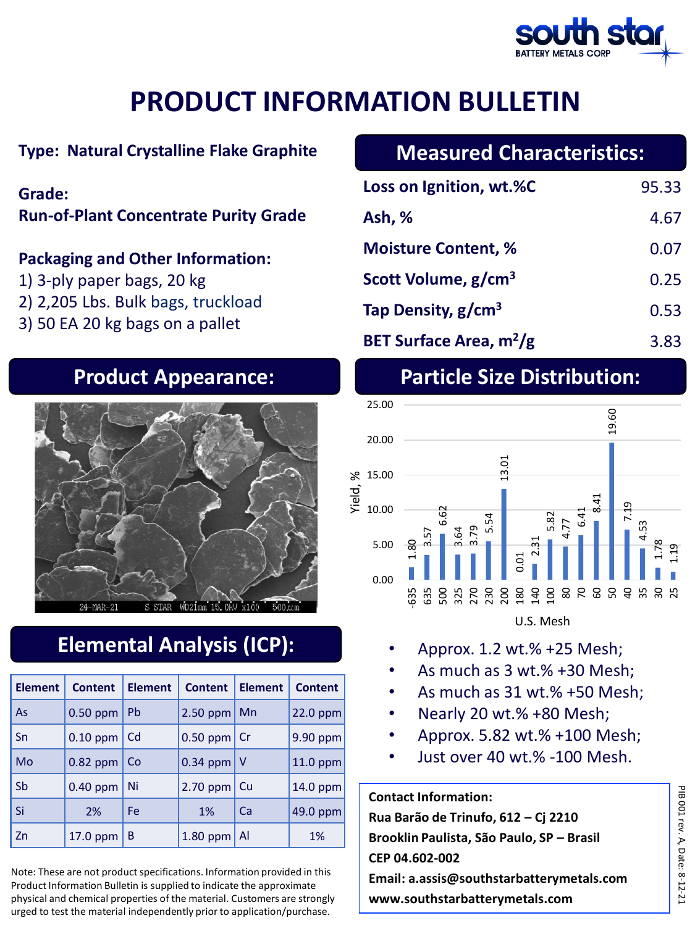

### **Type: Natural Crystalline Flake Graphite**

### **Grade:**

**Run-of-Plant Concentrate Purity Grade**

#### **Packaging and Other Information:**

- 1) 3-ply paper bags, 20 kg
- 2) 2,205 Lbs. Bulk bags, truckload
- 3) 50 EA 20 kg bags on a pallet



# **Elemental Analysis (ICP):**

| <b>Element</b> | <b>Content</b> | <b>Element</b> | <b>Content</b>        | <b>Element</b> | <b>Content</b> |
|----------------|----------------|----------------|-----------------------|----------------|----------------|
| As             | $0.50$ ppm     | <b>Pb</b>      | $2.50$ ppm            | Mn             | 22.0 ppm       |
| Sn             | $0.10$ ppm     | Cd             | $0.50$ ppm $\vert$ Cr |                | 9.90 ppm       |
| Mo             | 0.82 ppm       | Co             | $0.34$ ppm            | <u>V</u>       | 11.0 ppm       |
| Sb             | $0.40$ ppm     | Ni             | 2.70 ppm              | -Cu            | 14.0 ppm       |
| Si             | 2%             | <b>Fe</b>      | 1%                    | Ca             | 49.0 ppm       |
| Zn             | 17.0 ppm       | B              | 1.80 ppm              | Al             | 1%             |

Note: These are not product specifications. Information provided in this Product Information Bulletin is supplied to indicate the approximate physical and chemical properties of the material. Customers are strongly urged to test the material independently prior to application/purchase.

# **Measured Characteristics:**

| Loss on Ignition, wt.%C                  | 95.33 |
|------------------------------------------|-------|
| Ash, %                                   | 4.67  |
| <b>Moisture Content, %</b>               | 0.07  |
| Scott Volume, g/cm <sup>3</sup>          | 0.25  |
| Tap Density, g/cm <sup>3</sup>           | 0.53  |
| <b>BET Surface Area, m<sup>2</sup>/g</b> | 3.83  |

# **Product Appearance: Particle Size Distribution:**



- Approx. 1.2 wt.% +25 Mesh;
- As much as 3 wt.% +30 Mesh;
- As much as 31 wt.% +50 Mesh;
- Nearly 20 wt.% +80 Mesh;
- Approx. 5.82 wt.% +100 Mesh;
- Just over 40 wt.% -100 Mesh.

**Contact Information: Rua Barão de Trinufo, 612 – Cj 2210 Brooklin Paulista, São Paulo, SP – Brasil CEP 04.602-002 Email: a.assis@southstarbatterymetals.com www.southstarbatterymetals.com**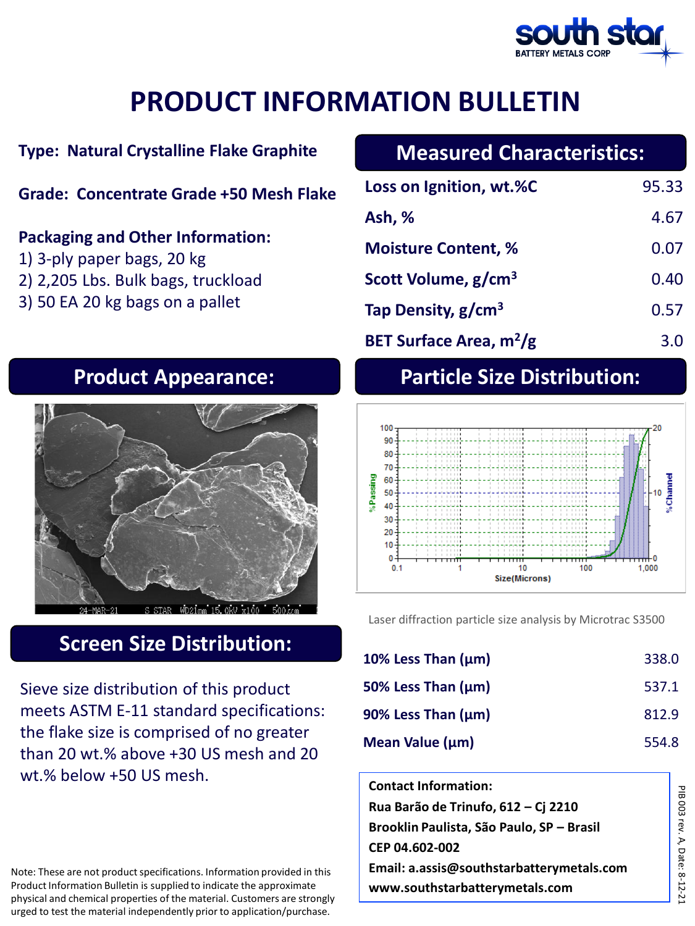

### **Type: Natural Crystalline Flake Graphite**

#### **Grade: Concentrate Grade +50 Mesh Flake**

#### **Packaging and Other Information:**

- 1) 3-ply paper bags, 20 kg
- 2) 2,205 Lbs. Bulk bags, truckload
- 3) 50 EA 20 kg bags on a pallet

## **Measured Characteristics:**

| Loss on Ignition, wt.%C             | 95.33 |
|-------------------------------------|-------|
| Ash, %                              | 4.67  |
| <b>Moisture Content, %</b>          | 0.07  |
| Scott Volume, g/cm <sup>3</sup>     | 0.40  |
| Tap Density, $g/cm3$                | 0.57  |
| BET Surface Area, m <sup>2</sup> /g | 3.0   |



# **Screen Size Distribution:**

Sieve size distribution of this product meets ASTM E-11 standard specifications: the flake size is comprised of no greater than 20 wt.% above +30 US mesh and 20 wt.% below +50 US mesh.

Note: These are not product specifications. Information provided in this Product Information Bulletin is supplied to indicate the approximate physical and chemical properties of the material. Customers are strongly urged to test the material independently prior to application/purchase.

# **Product Appearance: Particle Size Distribution:**



Laser diffraction particle size analysis by Microtrac S3500

| 10% Less Than $(\mu m)$ | 338.0 |
|-------------------------|-------|
| 50% Less Than $(\mu m)$ | 537.1 |
| 90% Less Than $(\mu m)$ | 812.9 |
| Mean Value (µm)         | 554.8 |

| <b>Contact Information:</b>               |
|-------------------------------------------|
| Rua Barão de Trinufo, 612 – Cj 2210       |
| Brooklin Paulista, São Paulo, SP - Brasil |
| CEP 04.602-002                            |
| Email: a.assis@southstarbatterymetals.com |
| www.southstarbatterymetals.com            |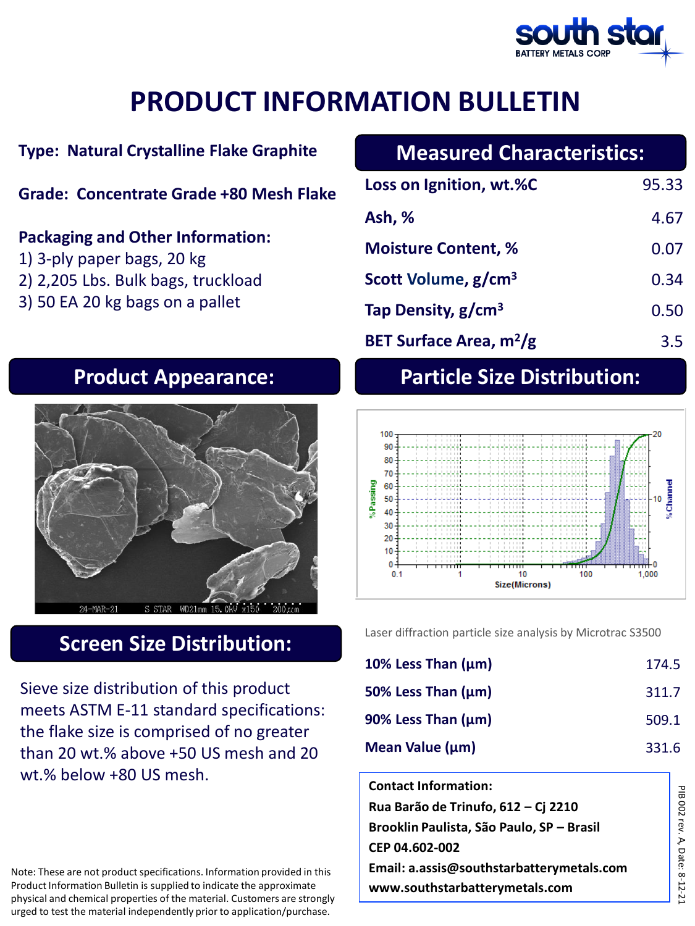

### **Type: Natural Crystalline Flake Graphite**

#### **Grade: Concentrate Grade +80 Mesh Flake**

#### **Packaging and Other Information:**

- 1) 3-ply paper bags, 20 kg
- 2) 2,205 Lbs. Bulk bags, truckload
- 3) 50 EA 20 kg bags on a pallet

# **Measured Characteristics:**

| Loss on Ignition, wt.%C                  | 95.33 |
|------------------------------------------|-------|
| Ash, %                                   | 4.67  |
| <b>Moisture Content, %</b>               | 0.07  |
| Scott Volume, g/cm <sup>3</sup>          | 0.34  |
| Tap Density, $g/cm3$                     | 0.50  |
| <b>BET Surface Area, m<sup>2</sup>/g</b> | 3.5   |



## **Screen Size Distribution:**

Sieve size distribution of this product meets ASTM E-11 standard specifications: the flake size is comprised of no greater than 20 wt.% above +50 US mesh and 20 wt.% below +80 US mesh.

Note: These are not product specifications. Information provided in this Product Information Bulletin is supplied to indicate the approximate physical and chemical properties of the material. Customers are strongly urged to test the material independently prior to application/purchase.

# **Product Appearance: Particle Size Distribution:**



Laser diffraction particle size analysis by Microtrac S3500

| 10% Less Than $(\mu m)$ | 174.5 |
|-------------------------|-------|
| 50% Less Than $(\mu m)$ | 311.7 |
| 90% Less Than $(\mu m)$ | 509.1 |
| Mean Value $(\mu m)$    | 331.6 |

**Contact Information: Rua Barão de Trinufo, 612 – Cj 2210 Brooklin Paulista, São Paulo, SP – Brasil CEP 04.602-002 Email: a.assis@southstarbatterymetals.com www.southstarbatterymetals.com**